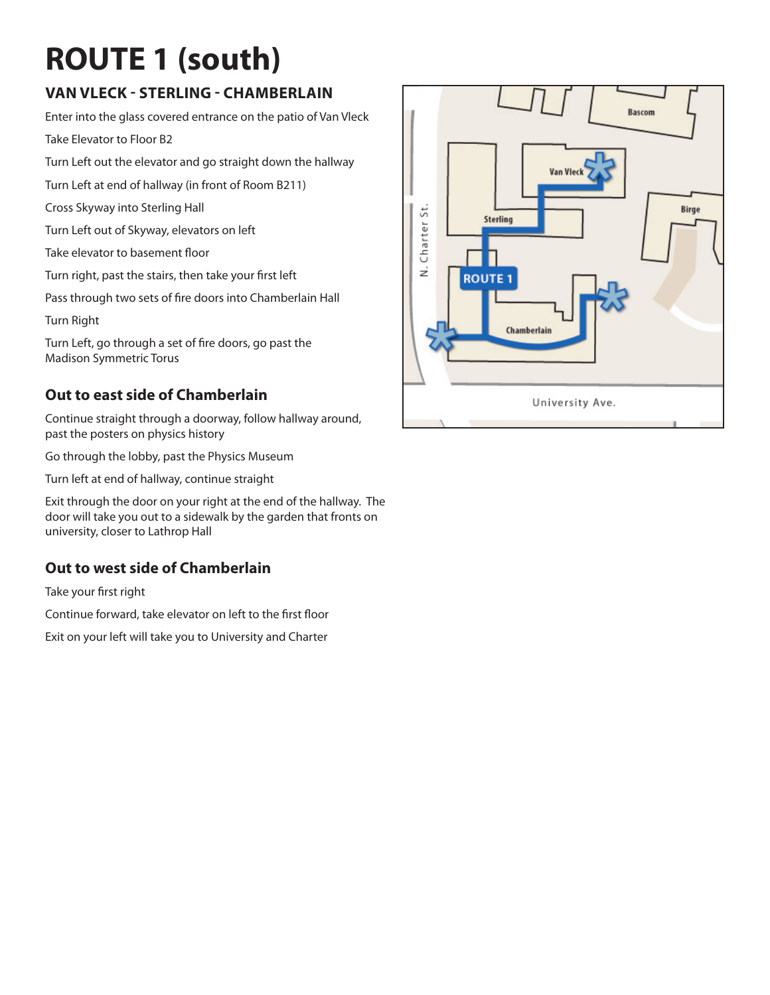# **ROUTE 1 (south)**

### **Van vleck - Sterling - Chamberlain**

Enter into the glass covered entrance on the patio of Van Vleck Take Elevator to Floor B2

Turn Left out the elevator and go straight down the hallway

Turn Left at end of hallway (in front of Room B211)

Cross Skyway into Sterling Hall

Turn Left out of Skyway, elevators on left

Take elevator to basement floor

Turn right, past the stairs, then take your first left

Pass through two sets of fire doors into Chamberlain Hall

Turn Right

Turn Left, go through a set of fire doors, go past the Madison Symmetric Torus

#### **Out to east side of Chamberlain**

Continue straight through a doorway, follow hallway around, past the posters on physics history

Go through the lobby, past the Physics Museum

Turn left at end of hallway, continue straight

Exit through the door on your right at the end of the hallway. The door will take you out to a sidewalk by the garden that fronts on university, closer to Lathrop Hall

#### **Out to west side of Chamberlain**

Take your first right

Continue forward, take elevator on left to the first floor

Exit on your left will take you to University and Charter

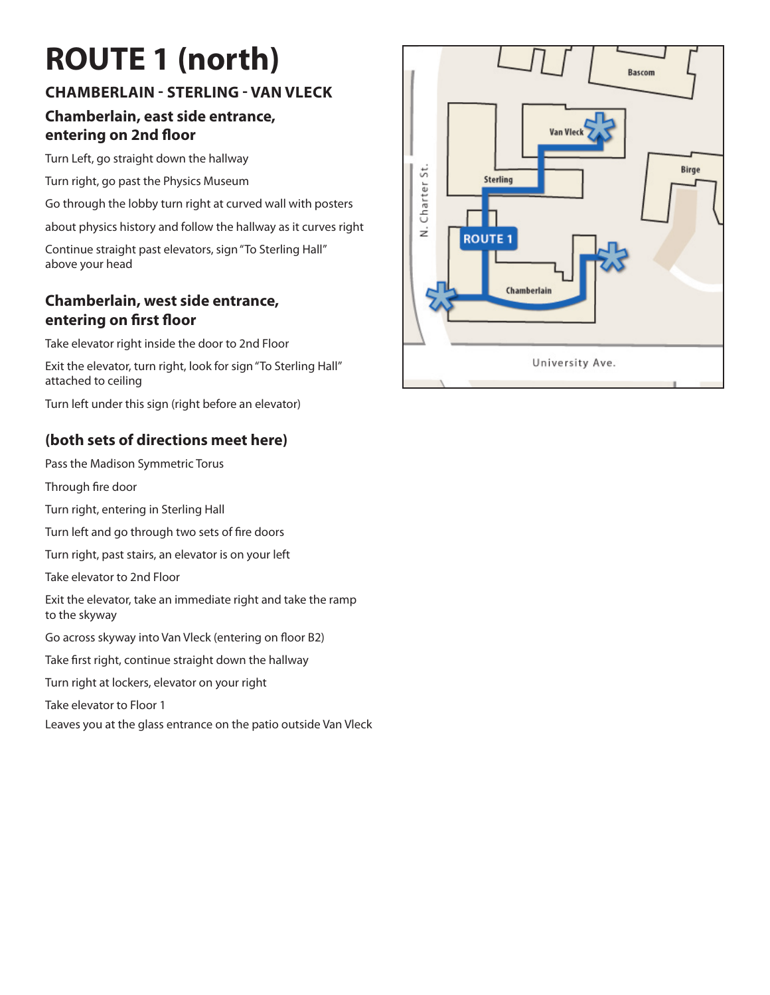# **ROUTE 1 (north)**

## **Chamberlain - Sterling - Van Vleck**

#### **Chamberlain, east side entrance, entering on 2nd floor**

Turn Left, go straight down the hallway

Turn right, go past the Physics Museum

Go through the lobby turn right at curved wall with posters

about physics history and follow the hallway as it curves right

Continue straight past elevators, sign "To Sterling Hall" above your head

#### **Chamberlain, west side entrance, entering on first floor**

Take elevator right inside the door to 2nd Floor

Exit the elevator, turn right, look for sign "To Sterling Hall" attached to ceiling

Turn left under this sign (right before an elevator)

### **(both sets of directions meet here)**

Pass the Madison Symmetric Torus

Through fire door

Turn right, entering in Sterling Hall

Turn left and go through two sets of fire doors

Turn right, past stairs, an elevator is on your left

Take elevator to 2nd Floor

Exit the elevator, take an immediate right and take the ramp to the skyway

Go across skyway into Van Vleck (entering on floor B2)

Take first right, continue straight down the hallway

Turn right at lockers, elevator on your right

Take elevator to Floor 1

Leaves you at the glass entrance on the patio outside Van Vleck

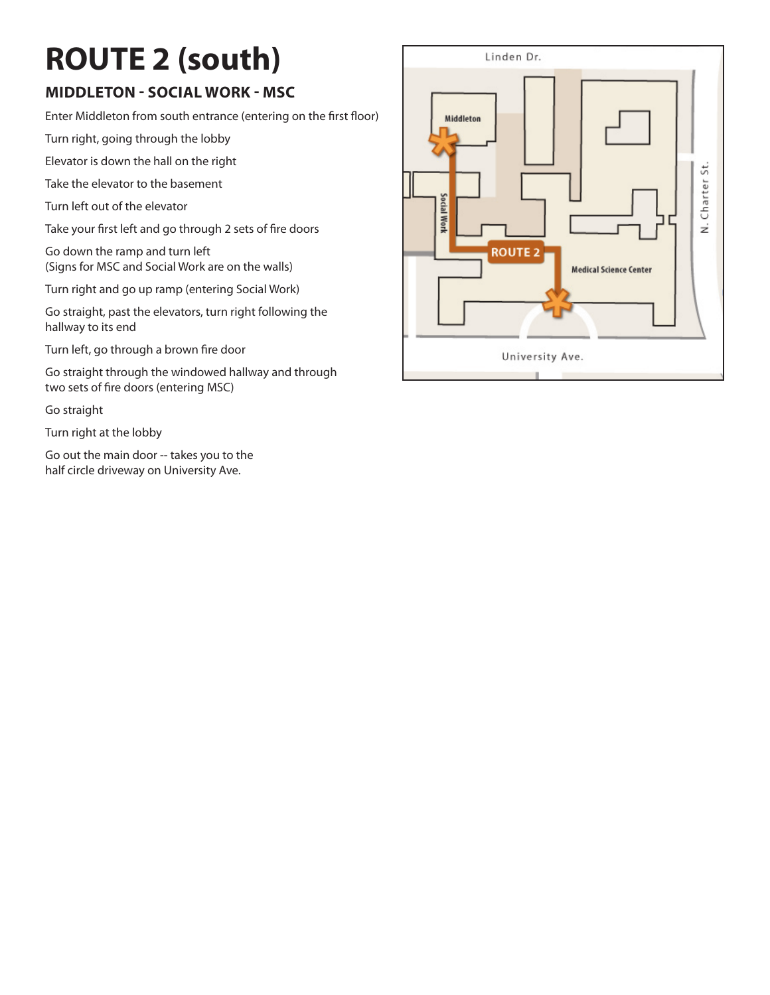# **ROUTE 2 (south)**

### **Middleton - Social Work - MSC**

Enter Middleton from south entrance (entering on the first floor)

Turn right, going through the lobby

Elevator is down the hall on the right

Take the elevator to the basement

Turn left out of the elevator

Take your first left and go through 2 sets of fire doors

Go down the ramp and turn left (Signs for MSC and Social Work are on the walls)

Turn right and go up ramp (entering Social Work)

Go straight, past the elevators, turn right following the hallway to its end

Turn left, go through a brown fire door

Go straight through the windowed hallway and through two sets of fire doors (entering MSC)

Go straight

Turn right at the lobby

Go out the main door -- takes you to the half circle driveway on University Ave.